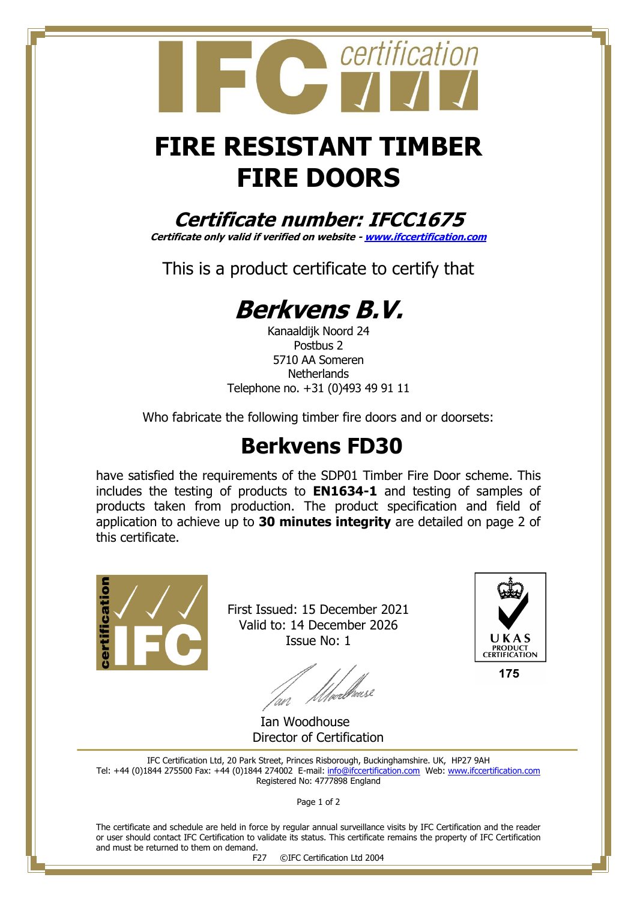# **FIRE RESISTANT TIMBER FIRE DOORS**

certification

### **Certificate number: IFCC1675**

**Certificate only valid if verified on website - [www.ifccertification.com](http://www.ifccertification.com/)**

This is a product certificate to certify that

# **Berkvens B.V.**

Kanaaldijk Noord 24 Postbus 2 5710 AA Someren **Netherlands** Telephone no. +31 (0)493 49 91 11

Who fabricate the following timber fire doors and or doorsets:

## **Berkvens FD30**

have satisfied the requirements of the SDP01 Timber Fire Door scheme. This includes the testing of products to **EN1634-1** and testing of samples of products taken from production. The product specification and field of application to achieve up to **30 minutes integrity** are detailed on page 2 of this certificate.



First Issued: 15 December 2021 Valid to: 14 December 2026 Issue No: 1

*Allver*elhouse 'nn



175

Ian Woodhouse Director of Certification

IFC Certification Ltd, 20 Park Street, Princes Risborough, Buckinghamshire. UK, HP27 9AH Tel: +44 (0)1844 275500 Fax: +44 (0)1844 274002 E-mail: [info@ifccertification.com](mailto:info@ifccertification.com) Web: [www.ifccertification.com](http://www.ifccertification.com/) Registered No: 4777898 England

Page 1 of 2

The certificate and schedule are held in force by regular annual surveillance visits by IFC Certification and the reader or user should contact IFC Certification to validate its status. This certificate remains the property of IFC Certification and must be returned to them on demand.

F27 ©IFC Certification Ltd 2004